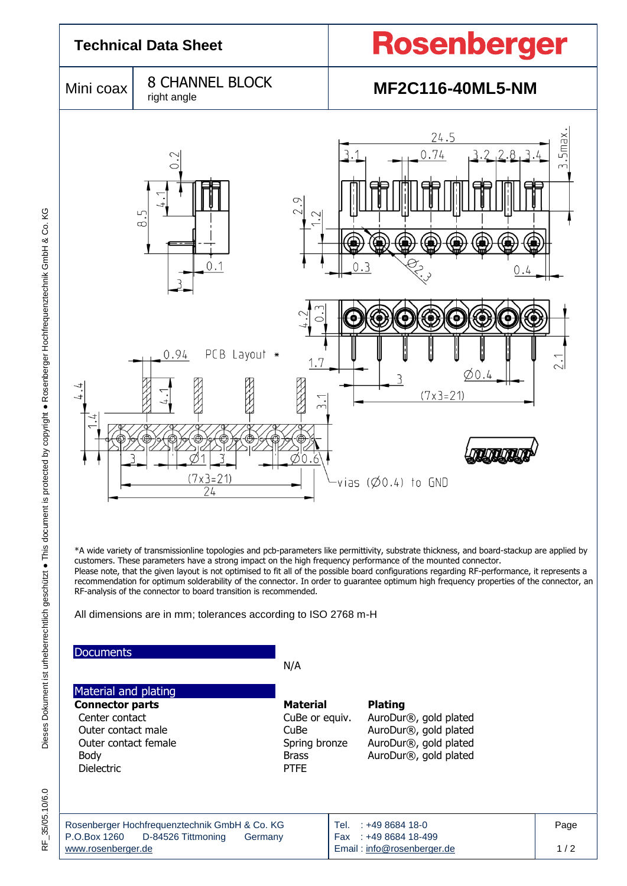

RF\_35/05.10/6.0

Rosenberger Hochfrequenztechnik GmbH & Co. KG P.O.Box 1260 D-84526 Tittmoning Germany www.rosenberger.de Tel. : +49 8684 18-0 Fax : +49 8684 18-499 Email : info@rosenberger.de Page  $1/2$